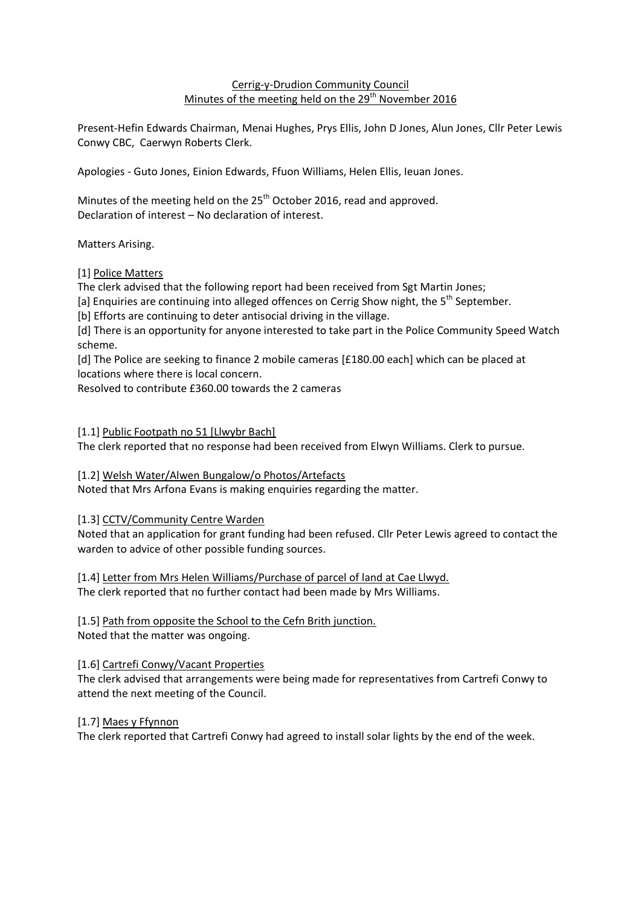# Cerrig-y-Drudion Community Council Minutes of the meeting held on the 29<sup>th</sup> November 2016

Present-Hefin Edwards Chairman, Menai Hughes, Prys Ellis, John D Jones, Alun Jones, Cllr Peter Lewis Conwy CBC, Caerwyn Roberts Clerk.

Apologies - Guto Jones, Einion Edwards, Ffuon Williams, Helen Ellis, Ieuan Jones.

Minutes of the meeting held on the 25<sup>th</sup> October 2016, read and approved. Declaration of interest – No declaration of interest.

Matters Arising.

[1] Police Matters

The clerk advised that the following report had been received from Sgt Martin Jones;

[a] Enquiries are continuing into alleged offences on Cerrig Show night, the 5<sup>th</sup> September.

[b] Efforts are continuing to deter antisocial driving in the village.

[d] There is an opportunity for anyone interested to take part in the Police Community Speed Watch scheme.

[d] The Police are seeking to finance 2 mobile cameras [£180.00 each] which can be placed at locations where there is local concern.

Resolved to contribute £360.00 towards the 2 cameras

[1.1] Public Footpath no 51 [Llwybr Bach]

The clerk reported that no response had been received from Elwyn Williams. Clerk to pursue.

[1.2] Welsh Water/Alwen Bungalow/o Photos/Artefacts

Noted that Mrs Arfona Evans is making enquiries regarding the matter.

[1.3] CCTV/Community Centre Warden

Noted that an application for grant funding had been refused. Cllr Peter Lewis agreed to contact the warden to advice of other possible funding sources.

[1.4] Letter from Mrs Helen Williams/Purchase of parcel of land at Cae Llwyd. The clerk reported that no further contact had been made by Mrs Williams.

[1.5] Path from opposite the School to the Cefn Brith junction.

Noted that the matter was ongoing.

[1.6] Cartrefi Conwy/Vacant Properties

The clerk advised that arrangements were being made for representatives from Cartrefi Conwy to attend the next meeting of the Council.

[1.7] Maes y Ffynnon

The clerk reported that Cartrefi Conwy had agreed to install solar lights by the end of the week.